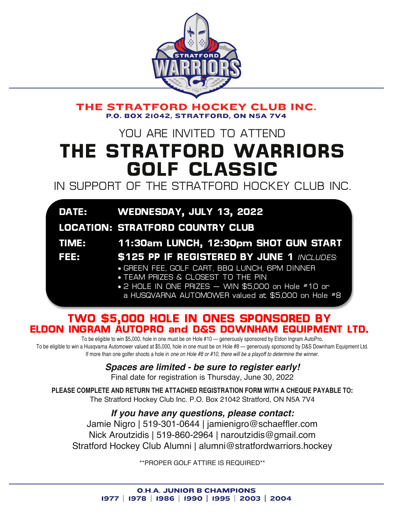

THE STRATFORD HOCKEY CLUB INC. **P.O. BOX 21042. STRATFORD. ON N5A 7V4** 

# YOU ARE INVITED TO ATTEND **THE STRATFORD WARRIORS GOLF CLASSIC**

IN SUPPORT OF THE STRATFORD HOCKEY CLUB INC.

|                                         | DATE: WEDNESDAY, JULY 13, 2022                      |  |
|-----------------------------------------|-----------------------------------------------------|--|
| <b>LOCATION: STRATFORD COUNTRY CLUB</b> |                                                     |  |
| <b>TIME:</b>                            | 11:30am LUNCH, 12:30pm SHOT GUN START               |  |
| FEE                                     | <b>\$125 PP IF REGISTERED BY JUNE 1 INCLUDES:</b>   |  |
|                                         | • GREEN FEE, GOLF CART, BBQ LUNCH, 6PM DINNER       |  |
|                                         | • TEAM PRIZES & CLOSEST TO THE PIN                  |  |
|                                         | • 2 HOLE IN ONE PRIZES - WIN \$5,000 on Hole #10 or |  |
|                                         | a HUSQVARNA AUTOMOWER valued at \$5,000 on Hole #8  |  |

## **TWO \$5,000 HOLE IN ONES SPONSORED BY ELDON INGRAM AUTOPRO and D&S DOWNHAM EQUIPMENT LTD.**

To be eligible to win \$5,000, hole in one must be on Hole #10 — generously sponsored by Eldon Ingram AutoPro. To be eligible to win a Husqvarna Automower valued at \$5,000, hole in one must be on Hole #8 - generously sponsored by D&S Downham Equipment Ltd. If more than one golfer shoots a hole in *one on Hole #8 or #10, there will be a playoff to determine the winner.*

### *Spaces are limited - be sure to register early!*

Final date for registration is Thursday, June 30, 2022

**PLEASE COMPLETE AND RETURN THE ATTACHED REGISTRATION FORM WITH A CHEQUE PAYABLE TO:** The Stratford Hockey Club Inc. P.O. Box 21042 Stratford, ON N5A 7V4

*If you have any questions, please contact:* Jamie Nigro | 519-301-0644 | jamienigro@schaeffler.com Nick Aroutzidis | 519-860-2964 | naroutzidis@gmail.com Stratford Hockey Club Alumni | alumni@stratfordwarriors.hockey

\*\*PROPER GOLF ATTIRE IS REQUIRED\*\*